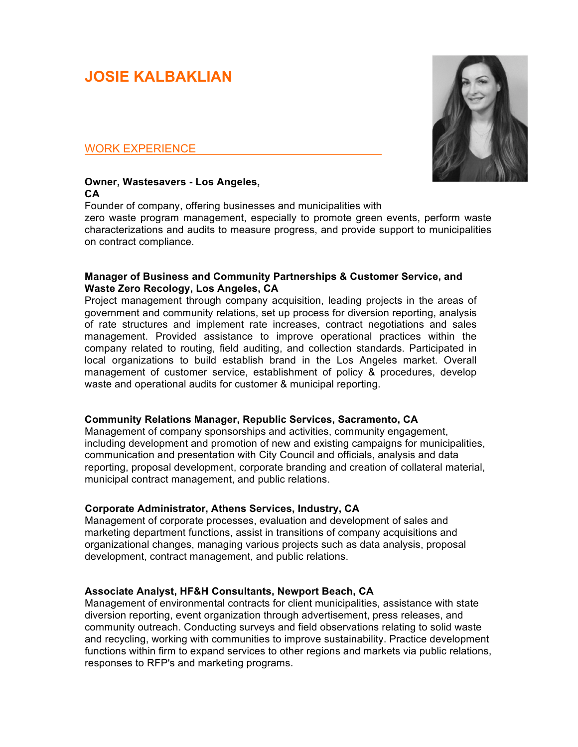# **JOSIE KALBAKLIAN**

## WORK EXPERIENCE

#### **Owner, Wastesavers - Los Angeles, CA**

Founder of company, offering businesses and municipalities with zero waste program management, especially to promote green events, perform waste characterizations and audits to measure progress, and provide support to municipalities on contract compliance.

#### **Manager of Business and Community Partnerships & Customer Service, and Waste Zero Recology, Los Angeles, CA**

Project management through company acquisition, leading projects in the areas of government and community relations, set up process for diversion reporting, analysis of rate structures and implement rate increases, contract negotiations and sales management. Provided assistance to improve operational practices within the company related to routing, field auditing, and collection standards. Participated in local organizations to build establish brand in the Los Angeles market. Overall management of customer service, establishment of policy & procedures, develop waste and operational audits for customer & municipal reporting.

# **Community Relations Manager, Republic Services, Sacramento, CA**

Management of company sponsorships and activities, community engagement, including development and promotion of new and existing campaigns for municipalities, communication and presentation with City Council and officials, analysis and data reporting, proposal development, corporate branding and creation of collateral material, municipal contract management, and public relations.

#### **Corporate Administrator, Athens Services, Industry, CA**

Management of corporate processes, evaluation and development of sales and marketing department functions, assist in transitions of company acquisitions and organizational changes, managing various projects such as data analysis, proposal development, contract management, and public relations.

### **Associate Analyst, HF&H Consultants, Newport Beach, CA**

Management of environmental contracts for client municipalities, assistance with state diversion reporting, event organization through advertisement, press releases, and community outreach. Conducting surveys and field observations relating to solid waste and recycling, working with communities to improve sustainability. Practice development functions within firm to expand services to other regions and markets via public relations, responses to RFP's and marketing programs.